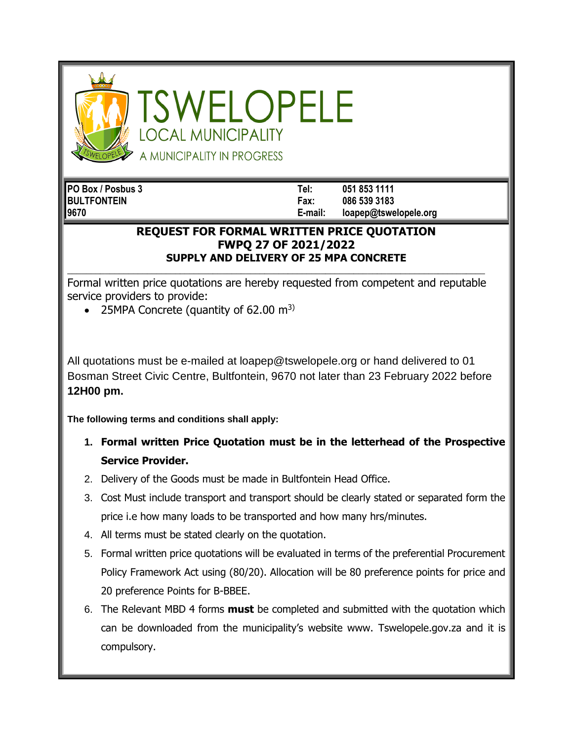

SWELOPELE **OCAL MUNICIPALITY** A MUNICIPALITY IN PROGRESS

**PO Box / Posbus 3 Tel: 051 853 1111 BULTFONTEIN Fax: 086 539 3183 9670 E-mail: loapep@tswelopele.org**

## **REQUEST FOR FORMAL WRITTEN PRICE QUOTATION FWPQ 27 OF 2021/2022 SUPPLY AND DELIVERY OF 25 MPA CONCRETE**

**\_\_\_\_\_\_\_\_\_\_\_\_\_\_\_\_\_\_\_\_\_\_\_\_\_\_\_\_\_\_\_\_\_\_\_\_\_\_\_\_\_\_\_\_\_\_\_\_\_\_\_\_\_\_\_\_\_\_\_\_\_\_\_\_\_\_\_\_\_\_\_\_\_\_\_\_\_\_\_\_\_\_\_\_\_\_\_\_\_** Formal written price quotations are hereby requested from competent and reputable service providers to provide:

• 25MPA Concrete (quantity of 62.00  $m<sup>3</sup>$ )

All quotations must be e-mailed at loapep@tswelopele.org or hand delivered to 01 Bosman Street Civic Centre, Bultfontein, 9670 not later than 23 February 2022 before **12H00 pm.**

**The following terms and conditions shall apply:**

- **1. Formal written Price Quotation must be in the letterhead of the Prospective Service Provider.**
- 2. Delivery of the Goods must be made in Bultfontein Head Office.
- 3. Cost Must include transport and transport should be clearly stated or separated form the price i.e how many loads to be transported and how many hrs/minutes.
- 4. All terms must be stated clearly on the quotation.
- 5. Formal written price quotations will be evaluated in terms of the preferential Procurement Policy Framework Act using (80/20). Allocation will be 80 preference points for price and 20 preference Points for B-BBEE.
- 6. The Relevant MBD 4 forms **must** be completed and submitted with the quotation which can be downloaded from the municipality's website www. Tswelopele.gov.za and it is compulsory.